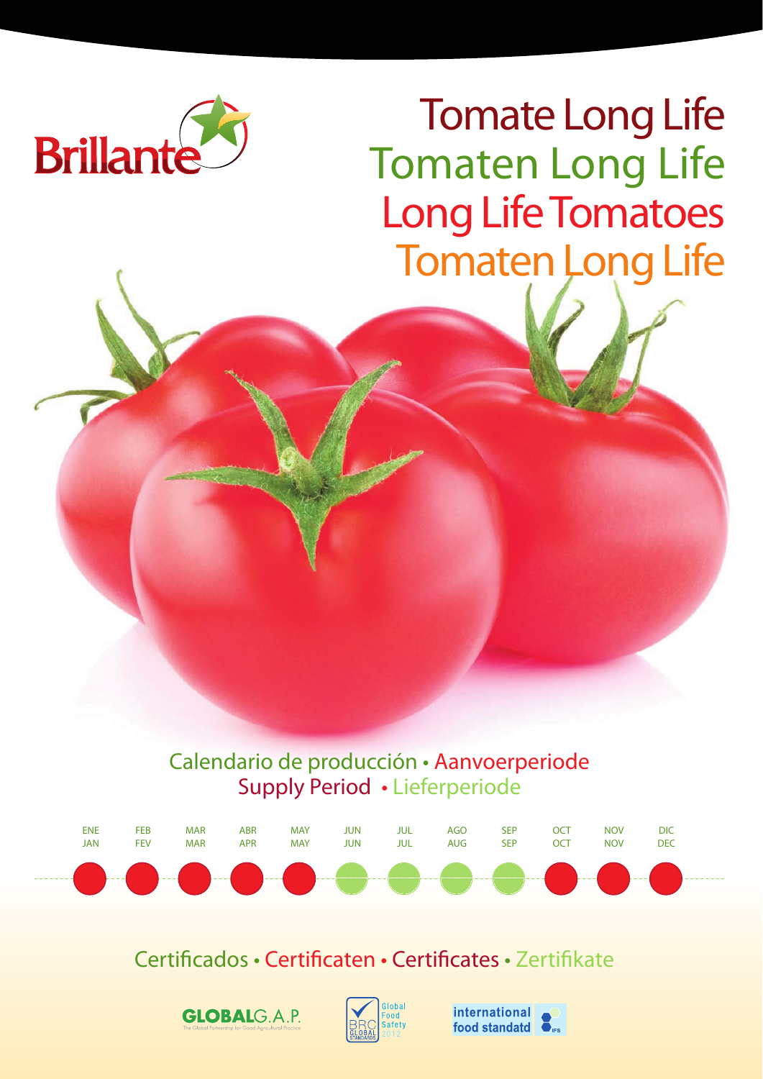

Tomate Long Life Tomaten Long Life Long Life Tomatoes Tomaten Long Life

Calendario de producción • Aanvoerperiode Supply Period • Lieferperiode



Certificados • Certificaten • Certificates • Zertifikate